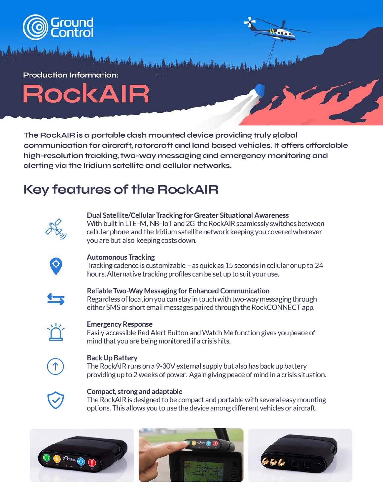

**Production Information:** 

RockAIR

**The RockAIR is a portable dash mounted device providing truly global communication for aircraft, rotorcraft and land based vehicles. It offers affordable high-resolution tracking, two-way messaging and emergency monitoring and alerting via the Iridium satellite and cellular networks.** 

# **Key features of the RockAIR**



**Dual Satellite/Cellular Tracking for Greater Situational Awareness**  With built in LTE-M, NB-IoT and 2G the RockAIR seamlessly switches between cellular phone and the Iridium satellite network keeping you covered wherever you are but also keeping costs down.



### **Automonous Tracking**

Tracking cadence is customizable - as quick as 15 seconds in cellular or up to 24 hours. Alternative tracking profiles can be set up to suit your use.



### **Reliable Two-Way Messaging for Enhanced Communication**  Regardless of location you can stay in touch with two-way messagingthrough either SMS or short email messages paired through the RockCONNECT app.



### **Emergency Response**

Easily accessible Red Alert Button and Watch Me function gives you peace of mind that you are being monitored if a crisis hits.



### **Back Up Battery**

The RockAIR runs on a 9-30V external supply but also has back up battery providing up to 2 weeks of power. Again giving peace of mind in a crisis situation.



### **Compact, strong and adaptable**

The RockAIR is designed to be compact and portable with several easy mounting options. This allows you to use the device among different vehicles or aircraft.